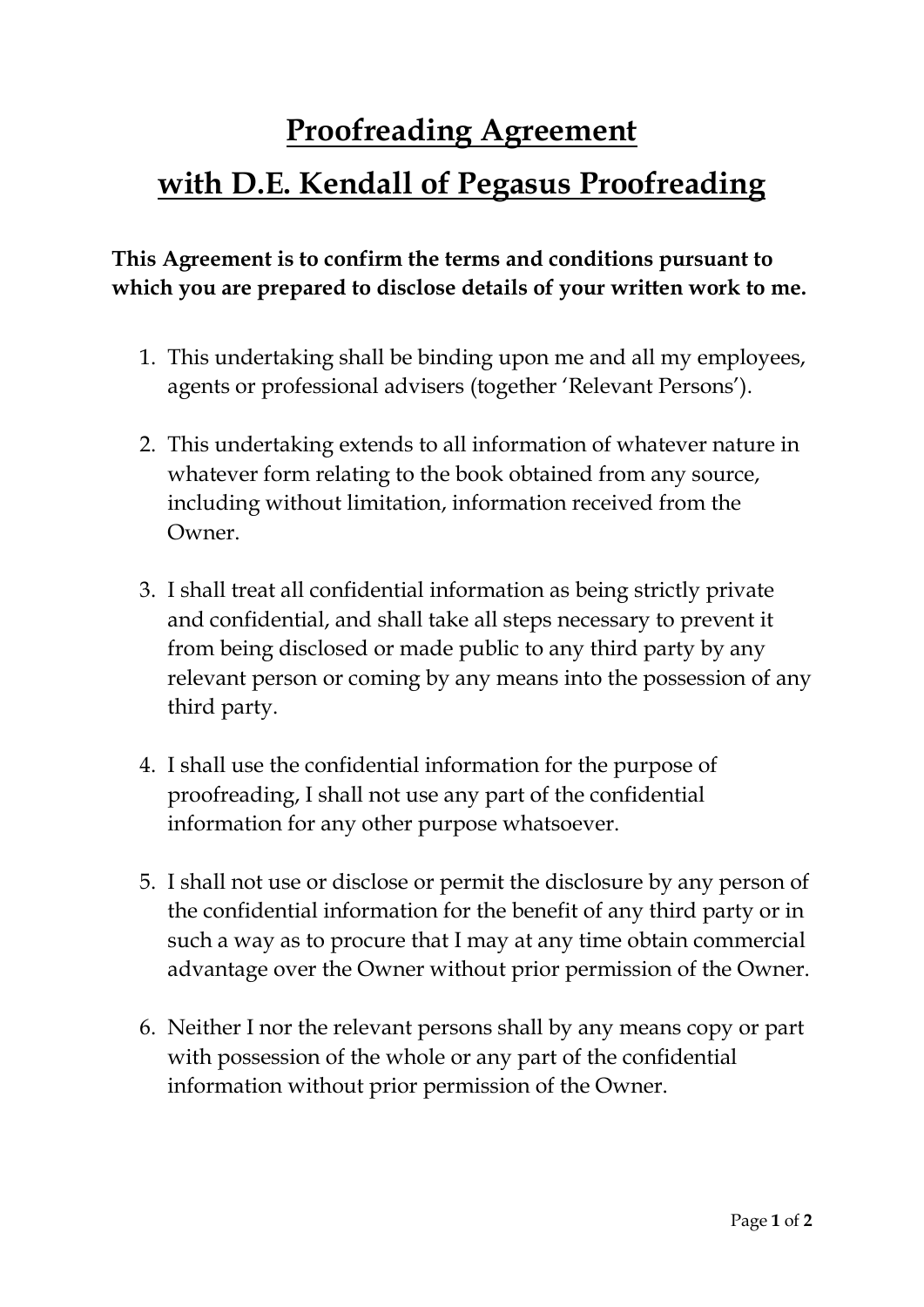# **Proofreading Agreement with D.E. Kendall of Pegasus Proofreading**

### **This Agreement is to confirm the terms and conditions pursuant to which you are prepared to disclose details of your written work to me.**

- 1. This undertaking shall be binding upon me and all my employees, agents or professional advisers (together 'Relevant Persons').
- 2. This undertaking extends to all information of whatever nature in whatever form relating to the book obtained from any source, including without limitation, information received from the Owner.
- 3. I shall treat all confidential information as being strictly private and confidential, and shall take all steps necessary to prevent it from being disclosed or made public to any third party by any relevant person or coming by any means into the possession of any third party.
- 4. I shall use the confidential information for the purpose of proofreading, I shall not use any part of the confidential information for any other purpose whatsoever.
- 5. I shall not use or disclose or permit the disclosure by any person of the confidential information for the benefit of any third party or in such a way as to procure that I may at any time obtain commercial advantage over the Owner without prior permission of the Owner.
- 6. Neither I nor the relevant persons shall by any means copy or part with possession of the whole or any part of the confidential information without prior permission of the Owner.